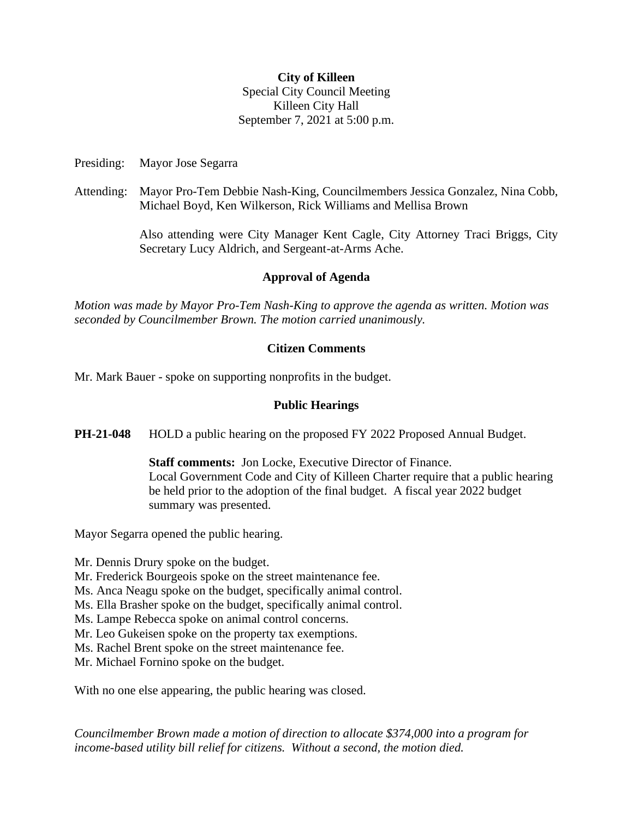### **City of Killeen**

Special City Council Meeting Killeen City Hall September 7, 2021 at 5:00 p.m.

Presiding: Mayor Jose Segarra

Attending: Mayor Pro-Tem Debbie Nash-King, Councilmembers Jessica Gonzalez, Nina Cobb, Michael Boyd, Ken Wilkerson, Rick Williams and Mellisa Brown

> Also attending were City Manager Kent Cagle, City Attorney Traci Briggs, City Secretary Lucy Aldrich, and Sergeant-at-Arms Ache.

## **Approval of Agenda**

*Motion was made by Mayor Pro-Tem Nash-King to approve the agenda as written. Motion was seconded by Councilmember Brown. The motion carried unanimously.* 

### **Citizen Comments**

Mr. Mark Bauer - spoke on supporting nonprofits in the budget.

## **Public Hearings**

**PH-21-048** HOLD a public hearing on the proposed FY 2022 Proposed Annual Budget.

**Staff comments:** Jon Locke, Executive Director of Finance. Local Government Code and City of Killeen Charter require that a public hearing be held prior to the adoption of the final budget. A fiscal year 2022 budget summary was presented.

Mayor Segarra opened the public hearing.

Mr. Dennis Drury spoke on the budget.

Mr. Frederick Bourgeois spoke on the street maintenance fee.

Ms. Anca Neagu spoke on the budget, specifically animal control.

Ms. Ella Brasher spoke on the budget, specifically animal control.

Ms. Lampe Rebecca spoke on animal control concerns.

Mr. Leo Gukeisen spoke on the property tax exemptions.

Ms. Rachel Brent spoke on the street maintenance fee.

Mr. Michael Fornino spoke on the budget.

With no one else appearing, the public hearing was closed.

*Councilmember Brown made a motion of direction to allocate \$374,000 into a program for income-based utility bill relief for citizens. Without a second, the motion died.*